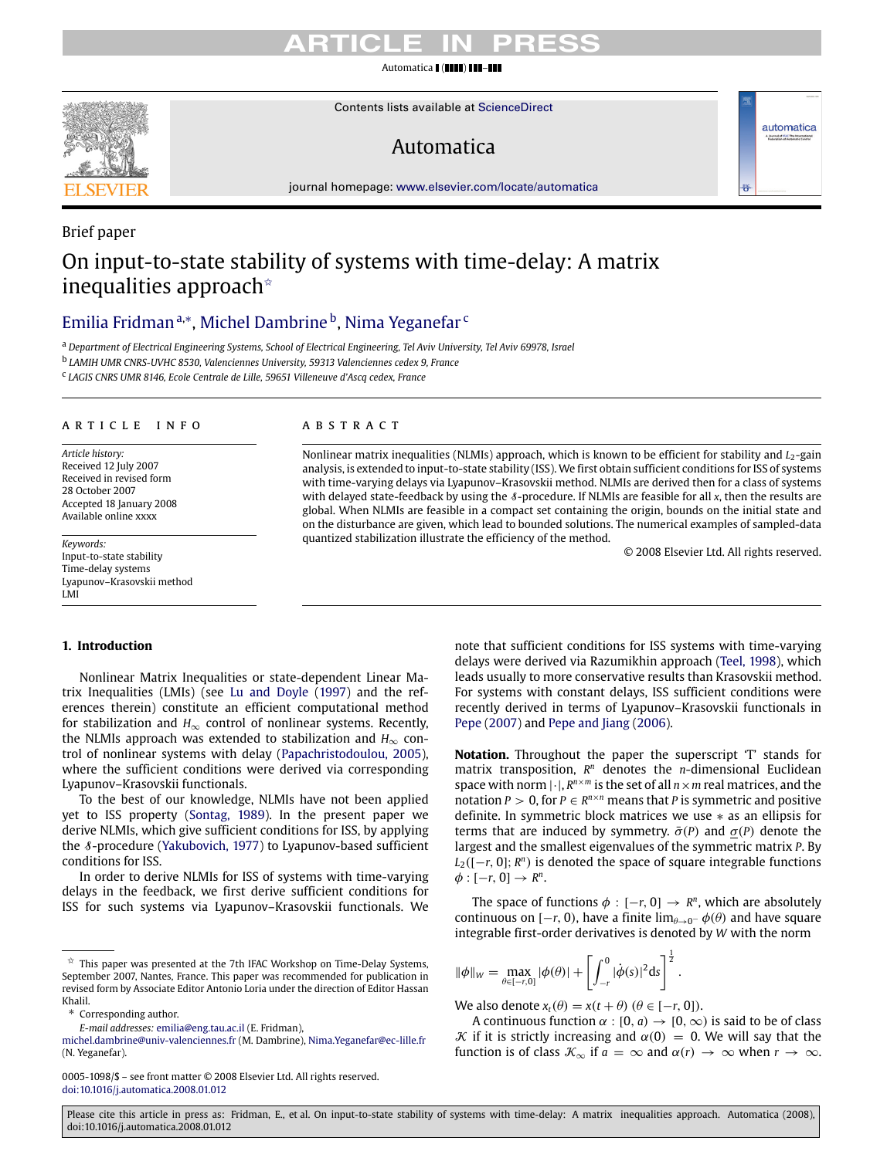#### Automatica (IIII) L

Contents lists available at [ScienceDirect](http://www.elsevier.com/locate/automatica)

### Automatica

journal homepage: [www.elsevier.com/locate/automatica](http://www.elsevier.com/locate/automatica)

### Brief paper On input-to-state stability of systems with time-delay: A matrix inequalities approach<sup> $\star$ </sup>

### [Emilia Fridman](#page-5-0)™, [Michel Dambrine](#page-5-1) <sup>[b](#page-0-3)</sup>, [Nima Yeganefar](#page-5-2) <sup>[c](#page-0-4)</sup>

<span id="page-0-1"></span><sup>a</sup> *Department of Electrical Engineering Systems, School of Electrical Engineering, Tel Aviv University, Tel Aviv 69978, Israel*

<span id="page-0-3"></span>b *LAMIH UMR CNRS-UVHC 8530, Valenciennes University, 59313 Valenciennes cedex 9, France*

<span id="page-0-4"></span>c *LAGIS CNRS UMR 8146, Ecole Centrale de Lille, 59651 Villeneuve d'Ascq cedex, France*

#### ARTICLE INFO

*Article history:* Received 12 July 2007 Received in revised form 28 October 2007 Accepted 18 January 2008 Available online xxxx

*Keywords:* Input-to-state stability Time-delay systems Lyapunov–Krasovskii method LMI

#### **1. Introduction**

Nonlinear Matrix Inequalities or state-dependent Linear Matrix Inequalities (LMIs) (see [Lu](#page-5-3) [and](#page-5-3) [Doyle](#page-5-3) [\(1997\)](#page-5-3) and the references therein) constitute an efficient computational method for stabilization and  $H_{\infty}$  control of nonlinear systems. Recently, the NLMIs approach was extended to stabilization and  $H_{\infty}$  control of nonlinear systems with delay [\(Papachristodoulou,](#page-5-4) [2005\)](#page-5-4), where the sufficient conditions were derived via corresponding Lyapunov–Krasovskii functionals.

To the best of our knowledge, NLMIs have not been applied yet to ISS property [\(Sontag,](#page-5-5) [1989\)](#page-5-5). In the present paper we derive NLMIs, which give sufficient conditions for ISS, by applying the *8*-procedure [\(Yakubovich,](#page-5-6) [1977\)](#page-5-6) to Lyapunov-based sufficient conditions for ISS.

In order to derive NLMIs for ISS of systems with time-varying delays in the feedback, we first derive sufficient conditions for ISS for such systems via Lyapunov–Krasovskii functionals. We

<span id="page-0-2"></span>Corresponding author.

#### 0005-1098/\$ – see front matter © 2008 Elsevier Ltd. All rights reserved. [doi:10.1016/j.automatica.2008.01.012](http://dx.doi.org/10.1016/j.automatica.2008.01.012)

#### a b s t r a c t

Nonlinear matrix inequalities (NLMIs) approach, which is known to be efficient for stability and *L*2-gain analysis, is extended to input-to-state stability (ISS). We first obtain sufficient conditions for ISS of systems with time-varying delays via Lyapunov–Krasovskii method. NLMIs are derived then for a class of systems with delayed state-feedback by using the S-procedure. If NLMIs are feasible for all *x*, then the results are global. When NLMIs are feasible in a compact set containing the origin, bounds on the initial state and on the disturbance are given, which lead to bounded solutions. The numerical examples of sampled-data quantized stabilization illustrate the efficiency of the method.

© 2008 Elsevier Ltd. All rights reserved.

automatica

note that sufficient conditions for ISS systems with time-varying delays were derived via Razumikhin approach [\(Teel,](#page-5-7) [1998\)](#page-5-7), which leads usually to more conservative results than Krasovskii method. For systems with constant delays, ISS sufficient conditions were recently derived in terms of Lyapunov–Krasovskii functionals in [Pepe](#page-5-8) [\(2007\)](#page-5-8) and [Pepe](#page-5-9) [and](#page-5-9) [Jiang](#page-5-9) [\(2006\)](#page-5-9).

**Notation.** Throughout the paper the superscript 'T' stands for matrix transposition, *R <sup>n</sup>* denotes the *n*-dimensional Euclidean space with norm  $|\cdot|$ ,  $R^{n \times m}$  is the set of all  $n \times m$  real matrices, and the notation *P* > 0, for *P*  $\in$  *R*<sup>*n*×*n*</sup> means that *P* is symmetric and positive definite. In symmetric block matrices we use ∗ as an ellipsis for terms that are induced by symmetry.  $\bar{\sigma}(P)$  and  $\sigma(P)$  denote the largest and the smallest eigenvalues of the symmetric matrix *P*. By *L*<sub>2</sub>([−*r*, 0]; *R*<sup>*n*</sup>) is denoted the space of square integrable functions  $\phi: [-r, 0] \rightarrow R^n$ .

The space of functions  $\phi : [-r, 0] \rightarrow R^n$ , which are absolutely continuous on  $[-r, 0)$ , have a finite  $\lim_{\theta \to 0^-} \phi(\theta)$  and have square integrable first-order derivatives is denoted by *W* with the norm

$$
\|\phi\|_{W} = \max_{\theta \in [-r,0]} |\phi(\theta)| + \left[ \int_{-r}^{0} |\dot{\phi}(s)|^{2} ds \right]^{\frac{1}{2}}.
$$

We also denote  $x_t(\theta) = x(t + \theta)$  ( $\theta \in [-r, 0]$ ).

A continuous function  $\alpha$  : [0, *a*)  $\rightarrow$  [0,  $\infty$ ) is said to be of class K if it is strictly increasing and  $\alpha(0) = 0$ . We will say that the function is of class  $\mathcal{K}_{\infty}$  if  $a = \infty$  and  $\alpha(r) \to \infty$  when  $r \to \infty$ .



<span id="page-0-0"></span><sup>✩</sup> This paper was presented at the 7th IFAC Workshop on Time-Delay Systems, September 2007, Nantes, France. This paper was recommended for publication in revised form by Associate Editor Antonio Loria under the direction of Editor Hassan Khalil.

*E-mail addresses:* [emilia@eng.tau.ac.il](mailto:emilia@eng.tau.ac.il) (E. Fridman),

[michel.dambrine@univ-valenciennes.fr](mailto:michel.dambrine@univ-valenciennes.fr) (M. Dambrine), [Nima.Yeganefar@ec-lille.fr](mailto:Nima.Yeganefar@ec-lille.fr) (N. Yeganefar).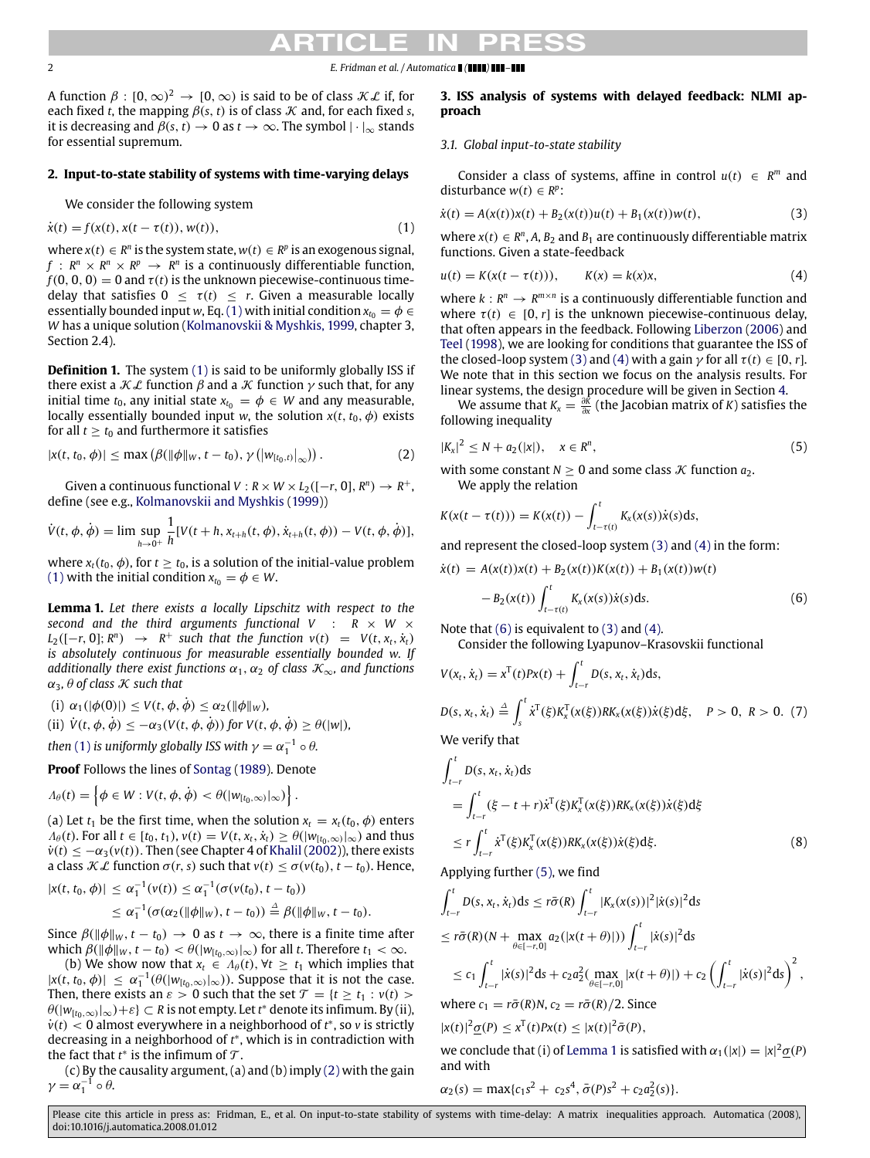2 *E. Fridman et al. / Automatica ( ) –*

A function  $\beta: [0,\infty)^2 \to [0,\infty)$  is said to be of class  $\mathcal{KL}$  if, for each fixed *t*, the mapping  $\beta(s, t)$  is of class  $\mathcal K$  and, for each fixed *s*, it is decreasing and  $\beta(s, t) \to 0$  as  $t \to \infty$ . The symbol  $|\cdot|_{\infty}$  stands for essential supremum.

#### **2. Input-to-state stability of systems with time-varying delays**

We consider the following system

$$
\dot{x}(t) = f(x(t), x(t - \tau(t)), w(t)),\tag{1}
$$

where  $x(t) \in R^n$  is the system state,  $w(t) \in R^p$  is an exogenous signal, *f* :  $R^n \times R^n \times R^p \rightarrow R^n$  is a continuously differentiable function,  $f(0, 0, 0) = 0$  and  $\tau(t)$  is the unknown piecewise-continuous timedelay that satisfies  $0 \leq \tau(t) \leq r$ . Given a measurable locally essentially bounded input *w*, Eq. [\(1\)](#page-1-0) with initial condition  $x_{t_0} = \phi \in$ *W* has a unique solution [\(Kolmanovskii](#page-5-10) [&](#page-5-10) [Myshkis,](#page-5-10) [1999,](#page-5-10) chapter 3, Section 2.4).

**Definition 1.** The system [\(1\)](#page-1-0) is said to be uniformly globally ISS if there exist a  $K\mathcal{L}$  function  $\beta$  and a  $\mathcal{K}$  function  $\gamma$  such that, for any initial time  $t_0$ , any initial state  $x_{t_0} = \phi \in W$  and any measurable, locally essentially bounded input *w*, the solution  $x(t, t_0, \phi)$  exists for all  $t \ge t_0$  and furthermore it satisfies

$$
|x(t, t_0, \phi)| \leq \max \left( \beta(\|\phi\|_W, t - t_0), \gamma\left( \left|w_{[t_0, t]}\right|_{\infty} \right) \right). \tag{2}
$$

Given a continuous functional  $V: R \times W \times L_2([-r, 0], R^n) \to R^+$ , define (see e.g., [Kolmanovskii](#page-5-10) [and](#page-5-10) [Myshkis](#page-5-10) [\(1999\)](#page-5-10))

$$
\dot{V}(t, \phi, \dot{\phi}) = \lim \sup_{h \to 0^+} \frac{1}{h} [V(t+h, x_{t+h}(t, \phi), \dot{x}_{t+h}(t, \phi)) - V(t, \phi, \dot{\phi})],
$$

where  $x_t(t_0, \phi)$ , for  $t \ge t_0$ , is a solution of the initial-value problem [\(1\)](#page-1-0) with the initial condition  $x_{t_0} = \phi \in W$ .

<span id="page-1-6"></span>**Lemma 1.** *Let there exists a locally Lipschitz with respect to the second and the third arguments functional V* : *R* × *W* ×  $L_2([-r, 0]; R^n) \rightarrow R^+$  *such that the function*  $v(t) = V(t, x_t, \dot{x}_t)$ *is absolutely continuous for measurable essentially bounded w. If additionally there exist functions*  $\alpha_1, \alpha_2$  *of class*  $\mathcal{K}_{\infty}$ *, and functions*  $\alpha_3$ ,  $\theta$  of class  $\mathcal K$  such that

(i) 
$$
\alpha_1(|\phi(0)|) \le V(t, \phi, \dot{\phi}) \le \alpha_2(||\phi||_W),
$$

(ii)  $V(t, \phi, \phi) \leq -\alpha_3(V(t, \phi, \phi))$  *for*  $V(t, \phi, \phi) \geq \theta(|w|)$ *,* 

then [\(1\)](#page-1-0) is uniformly globally ISS with  $\gamma = \alpha_1^{-1} \circ \theta$ .

**Proof** Follows the lines of [Sontag](#page-5-5) [\(1989\)](#page-5-5). Denote

$$
\Lambda_{\theta}(t) = \left\{ \phi \in W : V(t, \phi, \dot{\phi}) < \theta(|w_{[t_0, \infty)}|_{\infty}) \right\}.
$$

(a) Let  $t_1$  be the first time, when the solution  $x_t = x_t(t_0, \phi)$  enters  $\Lambda_{\theta}(t)$ . For all  $t \in [t_0, t_1)$ ,  $v(t) = V(t, x_t, \dot{x}_t) \geq \theta(|w_{[t_0,\infty)}|_{\infty})$  and thus  $\dot{v}(t) \leq -\alpha_3(v(t))$ . Then (see Chapter 4 of [Khalil](#page-5-11) [\(2002\)](#page-5-11)), there exists a class  $\mathcal{K} \mathcal{L}$  function  $\sigma(r, s)$  such that  $v(t) \leq \sigma(v(t_0), t - t_0)$ . Hence,

$$
|x(t, t_0, \phi)| \leq \alpha_1^{-1}(v(t)) \leq \alpha_1^{-1}(\sigma(v(t_0), t - t_0))
$$
  
 
$$
\leq \alpha_1^{-1}(\sigma(\alpha_2(\|\phi\|_W), t - t_0)) \stackrel{\Delta}{=} \beta(\|\phi\|_W, t - t_0).
$$

Since  $\beta(\|\phi\|_W, t - t_0) \to 0$  as  $t \to \infty$ , there is a finite time after which  $\beta(\|\phi\|_W, t - t_0) < \theta(|w_{[t_0,\infty)}|_{\infty})$  for all *t*. Therefore  $t_1 < \infty$ .

(b) We show now that  $x_t \in A_\theta(t)$ ,  $\forall t \geq t_1$  which implies that  $|x(t, t_0, \phi)| \leq \alpha_1^{-1}(\theta(|w_{[t_0,\infty)}|_{\infty}))$ . Suppose that it is not the case. Then, there exists an  $\varepsilon > 0$  such that the set  $\mathcal{T} = \{t \ge t_1 : v(t) >$  $\theta(|w_{[t_0,\infty)}|_\infty)+\varepsilon\}\subset R$  is not empty. Let  $t^*$  denote its infimum. By (ii), *v*<sup>(*t*)</sup> < 0 almost everywhere in a neighborhood of *t*<sup>\*</sup>, so *v* is strictly decreasing in a neighborhood of *t* ∗ , which is in contradiction with the fact that  $t^*$  is the infimum of  $\mathcal T$ .

(c) By the causality argument, (a) and (b) imply [\(2\)](#page-1-1) with the gain  $\gamma = \alpha_1^{-1} \circ \theta.$ 

#### **3. ISS analysis of systems with delayed feedback: NLMI approach**

#### *3.1. Global input-to-state stability*

<span id="page-1-2"></span>Consider a class of systems, affine in control  $u(t) \in R^m$  and disturbance  $w(t) \in R^p$ :

<span id="page-1-0"></span>
$$
\dot{x}(t) = A(x(t))x(t) + B_2(x(t))u(t) + B_1(x(t))w(t),
$$
\n(3)

where  $x(t) \in R^n$ , A, B<sub>2</sub> and B<sub>1</sub> are continuously differentiable matrix functions. Given a state-feedback

<span id="page-1-3"></span>
$$
u(t) = K(x(t - \tau(t))), \qquad K(x) = k(x)x,
$$
 (4)

where  $k: R^n \to R^{m \times n}$  is a continuously differentiable function and where  $\tau(t) \in [0, r]$  is the unknown piecewise-continuous delay, that often appears in the feedback. Following [Liberzon](#page-5-12) [\(2006\)](#page-5-12) and [Teel](#page-5-7) [\(1998\)](#page-5-7), we are looking for conditions that guarantee the ISS of the closed-loop system [\(3\)](#page-1-2) and [\(4\)](#page-1-3) with a gain  $\gamma$  for all  $\tau(t) \in [0, r]$ . We note that in this section we focus on the analysis results. For linear systems, the design procedure will be given in Section [4.](#page-4-0)

We assume that  $K_x = \frac{\partial K}{\partial x}$  (the Jacobian matrix of *K*) satisfies the following inequality

<span id="page-1-1"></span>
$$
|K_x|^2 \le N + a_2(|x|), \quad x \in R^n,
$$
\n(5)

<span id="page-1-5"></span>with some constant  $N > 0$  and some class  $K$  function  $a_2$ . We apply the relation

$$
K(x(t - \tau(t))) = K(x(t)) - \int_{t-\tau(t)}^{t} K_x(x(s))\dot{x}(s)ds,
$$

and represent the closed-loop system [\(3\)](#page-1-2) and [\(4\)](#page-1-3) in the form:

$$
\dot{x}(t) = A(x(t))x(t) + B_2(x(t))K(x(t)) + B_1(x(t))w(t)
$$
  
- B<sub>2</sub>(x(t))  $\int_{t-\tau(t)}^t K_x(x(s))\dot{x}(s)ds.$  (6)

Note that  $(6)$  is equivalent to  $(3)$  and  $(4)$ .

<span id="page-1-4"></span>Consider the following Lyapunov–Krasovskii functional

$$
V(x_t, \dot{x}_t) = x^{\mathrm{T}}(t)Px(t) + \int_{t-r}^{t} D(s, x_t, \dot{x}_t)ds,
$$
  

$$
D(s, x_t, \dot{x}_t) \stackrel{\Delta}{=} \int_{s}^{t} \dot{x}^{\mathrm{T}}(\xi)K_x^{\mathrm{T}}(x(\xi))RK_x(x(\xi))\dot{x}(\xi)d\xi, \quad P > 0, R > 0. (7)
$$

We verify that

$$
\int_{t-r}^{t} D(s, x_t, \dot{x}_t) ds
$$
\n
$$
= \int_{t-r}^{t} (\xi - t + r) \dot{x}^{T}(\xi) K_x^{T}(x(\xi)) R K_x(x(\xi)) \dot{x}(\xi) d\xi
$$
\n
$$
\leq r \int_{t-r}^{t} \dot{x}^{T}(\xi) K_x^{T}(x(\xi)) R K_x(x(\xi)) \dot{x}(\xi) d\xi.
$$
\n(8)

Applying further [\(5\),](#page-1-5) we find

$$
\int_{t-r}^{t} D(s, x_{t}, \dot{x}_{t}) ds \leq r \bar{\sigma}(R) \int_{t-r}^{t} |K_{x}(x(s))|^{2} |\dot{x}(s)|^{2} ds
$$
\n
$$
\leq r \bar{\sigma}(R) (N + \max_{\theta \in [-r, 0]} a_{2} (|\dot{x}(t + \theta)|)) \int_{t-r}^{t} |\dot{x}(s)|^{2} ds
$$
\n
$$
\leq c_{1} \int_{t-r}^{t} |\dot{x}(s)|^{2} ds + c_{2} a_{2}^{2} (\max_{\theta \in [-r, 0]} |\dot{x}(t + \theta)|) + c_{2} (\int_{t-r}^{t} |\dot{x}(s)|^{2} ds)^{2},
$$
\nwhere  $c_{1} = r \bar{\sigma}(R)N, c_{2} = r \bar{\sigma}(R)/2$ . Since\n
$$
|\dot{x}(t)|^{2} \underline{\sigma}(P) \leq x^{T}(t) P x(t) \leq |\dot{x}(t)|^{2} \bar{\sigma}(P),
$$

we conclude that (i) of [Lemma 1](#page-1-6) is satisfied with  $\alpha_1(|x|) = |x|^2 \underline{\sigma}(P)$ and with

$$
\alpha_2(s) = \max\{c_1s^2 + c_2s^4, \bar{\sigma}(P)s^2 + c_2a_2^2(s)\}.
$$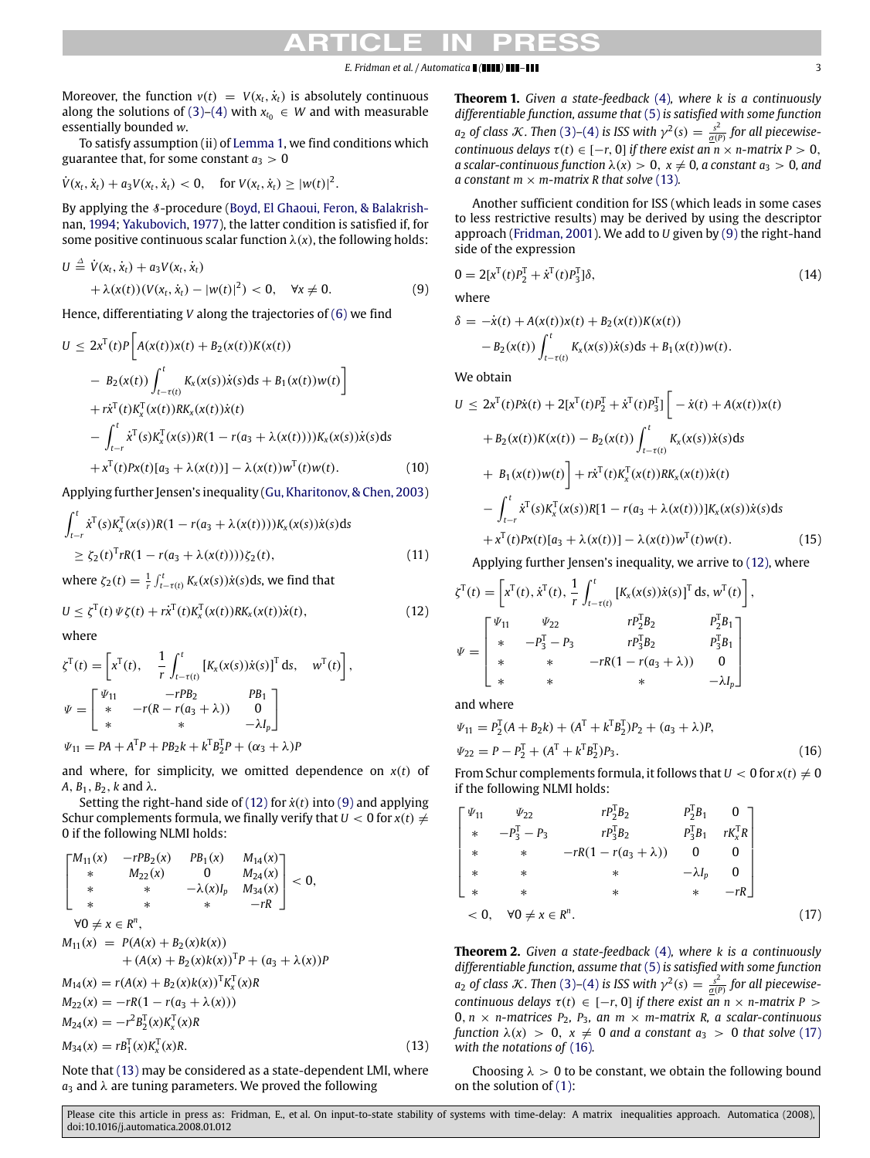#### *E. Fridman et al. / Automatica ( ) –* 3

Moreover, the function  $v(t) = V(x_t, \dot{x}_t)$  is absolutely continuous along the solutions of [\(3\)–](#page-1-2)[\(4\)](#page-1-3) with  $x_{t_0} \in W$  and with measurable essentially bounded *w*.

To satisfy assumption (ii) of [Lemma 1,](#page-1-6) we find conditions which guarantee that, for some constant  $a_3 > 0$ 

$$
\dot{V}(x_t, \dot{x}_t) + a_3 V(x_t, \dot{x}_t) < 0
$$
, for  $V(x_t, \dot{x}_t) \geq |w(t)|^2$ .

[B](#page-5-13)y applying the *§*-procedure [\(Boyd,](#page-5-13) [El](#page-5-13) [Ghaoui,](#page-5-13) [Feron,](#page-5-13) [&](#page-5-13) [Balakrish](#page-5-13)[nan,](#page-5-13) [1994;](#page-5-13) [Yakubovich,](#page-5-6) [1977\)](#page-5-6), the latter condition is satisfied if, for some positive continuous scalar function  $\lambda(x)$ , the following holds:

$$
U \stackrel{\Delta}{=} \dot{V}(x_t, \dot{x}_t) + a_3 V(x_t, \dot{x}_t) + \lambda(x(t))(V(x_t, \dot{x}_t) - |w(t)|^2) < 0, \quad \forall x \neq 0.
$$
 (9)

Hence, differentiating *V* along the trajectories of [\(6\)](#page-1-4) we find

$$
U \leq 2x^{T}(t)P\left[A(x(t))x(t) + B_{2}(x(t))K(x(t))\right.- B_{2}(x(t))\int_{t-\tau(t)}^{t} K_{x}(x(s))\dot{x}(s)ds + B_{1}(x(t))w(t)\right]+ r\dot{x}^{T}(t)K_{x}^{T}(x(t))RK_{x}(x(t))\dot{x}(t)- \int_{t-r}^{t} \dot{x}^{T}(s)K_{x}^{T}(x(s))R(1 - r(a_{3} + \lambda(x(t))))K_{x}(x(s))\dot{x}(s)ds+ x^{T}(t)Px(t)[a_{3} + \lambda(x(t))] - \lambda(x(t))w^{T}(t)w(t).
$$
 (10)

Applying further Jensen's inequality [\(Gu,](#page-5-14) [Kharitonov,&Chen,](#page-5-14) [2003\)](#page-5-14)

$$
\int_{t-r}^{t} \dot{x}^{T}(s)K_{\chi}^{T}(x(s))R(1 - r(a_{3} + \lambda(x(t))))K_{\chi}(x(s))\dot{x}(s)ds
$$
  
\n
$$
\geq \zeta_{2}(t)^{T}rR(1 - r(a_{3} + \lambda(x(t))))\zeta_{2}(t),
$$
\n(11)

where  $\zeta_2(t) = \frac{1}{r} \int_{t-\tau(t)}^t K_x(x(s)) \dot{x}(s) ds$ , we find that

$$
U \leq \zeta^{T}(t) \, \Psi \zeta(t) + r \dot{x}^{T}(t) K_{x}^{T}(x(t)) R K_{x}(x(t)) \dot{x}(t), \qquad (12)
$$

,

where

$$
\zeta^{T}(t) = \begin{bmatrix} x^{T}(t), & \frac{1}{r} \int_{t-\tau(t)}^{t} \left[ K_{x}(x(s)) \dot{x}(s) \right]^{T} ds, & w^{T}(t) \end{bmatrix}
$$
  
\n
$$
\Psi = \begin{bmatrix} \Psi_{11} & -rPB_{2} & PB_{1} \\ * & -r(R - r(a_{3} + \lambda)) & 0 \\ * & * & -\lambda I_{p} \end{bmatrix}
$$
  
\n
$$
\Psi_{11} = PA + A^{T}P + PB_{2}k + k^{T}B_{2}^{T}P + (\alpha_{3} + \lambda)P
$$

and where, for simplicity, we omitted dependence on  $x(t)$  of  $A, B_1, B_2, k$  and  $\lambda$ .

Setting the right-hand side of  $(12)$  for  $\dot{x}(t)$  into  $(9)$  and applying Schur complements formula, we finally verify that  $U < 0$  for  $x(t) \neq$ 0 if the following NLMI holds:

$$
\begin{bmatrix}\nM_{11}(x) & -rPB_2(x) & PB_1(x) & M_{14}(x) \\
* & M_{22}(x) & 0 & M_{24}(x) \\
* & * & -\lambda(x)I_p & M_{34}(x) \\
* & * & * & -rR\n\end{bmatrix} < 0,
$$
\n
$$
\forall 0 \neq x \in R^n,
$$
\n
$$
M_{11}(x) = P(A(x) + B_2(x)k(x)) + (A(x) + B_2(x)k(x))^T P + (a_3 + \lambda(x))P
$$
\n
$$
M_{14}(x) = r(A(x) + B_2(x)k(x))^T K_x^T(x)R
$$
\n
$$
M_{22}(x) = -rR(1 - r(a_3 + \lambda(x)))
$$
\n
$$
M_{24}(x) = -r^2 B_2^T(x) K_x^T(x)R
$$
\n
$$
M_{34}(x) = rB_1^T(x) K_x^T(x)R.
$$
\n(13)

Note that [\(13\)](#page-2-2) may be considered as a state-dependent LMI, where  $a_3$  and  $\lambda$  are tuning parameters. We proved the following

<span id="page-2-5"></span>**Theorem 1.** *Given a state-feedback* [\(4\)](#page-1-3)*, where k is a continuously differentiable function, assume that* [\(5\)](#page-1-5) *is satisfied with some function a*<sub>2</sub> *of class K*. Then [\(3\)](#page-1-2)–[\(4\)](#page-1-3) *is ISS with*  $\gamma^2(s) = \frac{s^2}{g(P)}$  *for all piecewisecontinuous delays*  $\tau(t) \in [-r, 0]$  *if there exist an*  $\overline{n} \times n$ *-matrix*  $P > 0$ , *a scalar-continuous function*  $\lambda(x) > 0$ ,  $x \neq 0$ , *a constant*  $a_3 > 0$ , and *a* constant  $m \times m$ -matrix *R* that solve [\(13\)](#page-2-2).

Another sufficient condition for ISS (which leads in some cases to less restrictive results) may be derived by using the descriptor approach [\(Fridman,](#page-5-15) [2001\)](#page-5-15). We add to *U* given by [\(9\)](#page-2-1) the right-hand side of the expression

$$
0 = 2[x^{T}(t)P_{2}^{T} + \dot{x}^{T}(t)P_{3}^{T}]\delta,
$$
\n(14)

<span id="page-2-1"></span>where

$$
\delta = -\dot{x}(t) + A(x(t))x(t) + B_2(x(t))K(x(t))
$$
  
- B<sub>2</sub>(x(t))  $\int_{t-\tau(t)}^{t} K_x(x(s))\dot{x}(s)ds + B_1(x(t))w(t).$ 

We obtain

$$
U \leq 2x^{T}(t)P\dot{x}(t) + 2[x^{T}(t)P_{2}^{T} + \dot{x}^{T}(t)P_{3}^{T}] \Big[-\dot{x}(t) + A(x(t))x(t)
$$
  
+  $B_{2}(x(t))K(x(t)) - B_{2}(x(t))\int_{t-\tau(t)}^{t} K_{x}(x(s))\dot{x}(s)ds$   
+  $B_{1}(x(t))w(t)\Big] + r\dot{x}^{T}(t)K_{x}^{T}(x(t))RK_{x}(x(t))\dot{x}(t)$   
-  $\int_{t-r}^{t} \dot{x}^{T}(s)K_{x}^{T}(x(s))R[1 - r(a_{3} + \lambda(x(t)))]K_{x}(x(s))\dot{x}(s)ds$   
+  $x^{T}(t)Px(t)[a_{3} + \lambda(x(t))] - \lambda(x(t))w^{T}(t)w(t).$  (15)

Applying further Jensen's inequality, we arrive to [\(12\),](#page-2-0) where

<span id="page-2-0"></span>
$$
\zeta^{T}(t) = \begin{bmatrix} x^{T}(t), \dot{x}^{T}(t), \frac{1}{r} \int_{t-\tau(t)}^{t} \left[ K_{x}(x(s)) \dot{x}(s) \right]^{T} ds, w^{T}(t) \right], \\ \psi = \begin{bmatrix} \frac{\psi_{11}}{r} & \frac{\psi_{22}}{r} & rP_{2}^{T}B_{2} & P_{2}^{T}B_{1} \\ * & -P_{3}^{T} - P_{3} & rP_{3}^{T}B_{2} & P_{3}^{T}B_{1} \\ * & * & -rR(1 - r(a_{3} + \lambda)) & 0 \\ * & * & * & -\lambda I_{p} \end{bmatrix}
$$

and where

<span id="page-2-4"></span>
$$
\Psi_{11} = P_2^T (A + B_2 k) + (A^T + k^T B_2^T) P_2 + (a_3 + \lambda) P,
$$
  
\n
$$
\Psi_{22} = P - P_2^T + (A^T + k^T B_2^T) P_3.
$$
\n(16)

From Schur complements formula, it follows that  $U < 0$  for  $x(t) \neq 0$ if the following NLMI holds:

$$
\begin{bmatrix}\n\Psi_{11} & \Psi_{22} & rP_2^{\mathsf{T}}B_2 & P_2^{\mathsf{T}}B_1 & 0 \\
* & -P_3^{\mathsf{T}} - P_3 & rP_3^{\mathsf{T}}B_2 & P_3^{\mathsf{T}}B_1 & rK_x^{\mathsf{T}}R \\
* & * & -rR(1 - r(a_3 + \lambda)) & 0 & 0 \\
* & * & * & -\lambda I_p & 0 \\
* & * & * & * & -rR\n\end{bmatrix}
$$
\n
$$
< 0, \quad \forall 0 \neq x \in R^n.
$$
\n(17)

<span id="page-2-6"></span><span id="page-2-3"></span>**Theorem 2.** *Given a state-feedback* [\(4\)](#page-1-3)*, where k is a continuously differentiable function, assume that* [\(5\)](#page-1-5) *is satisfied with some function a*<sub>2</sub> *of class K*. Then [\(3\)](#page-1-2)–[\(4\)](#page-1-3) *is ISS with*  $\gamma^2(s) = \frac{s^2}{\sigma(s)}$  for all piecewise*continuous delays*  $\tau(t) \in [-r, 0]$  *if there exist an*  $n \times n$ *-matrix*  $P >$  $0, n \times n$ *-matrices*  $P_2, P_3, an \times m$ *-matrix R*, *a* scalar-continuous *function*  $\lambda(x) > 0$ ,  $x \neq 0$  *and a constant*  $a_3 > 0$  *that solve* [\(17\)](#page-2-3) *with the notations of* [\(16\)](#page-2-4)*.*

<span id="page-2-2"></span>Choosing  $\lambda > 0$  to be constant, we obtain the following bound on the solution of [\(1\):](#page-1-0)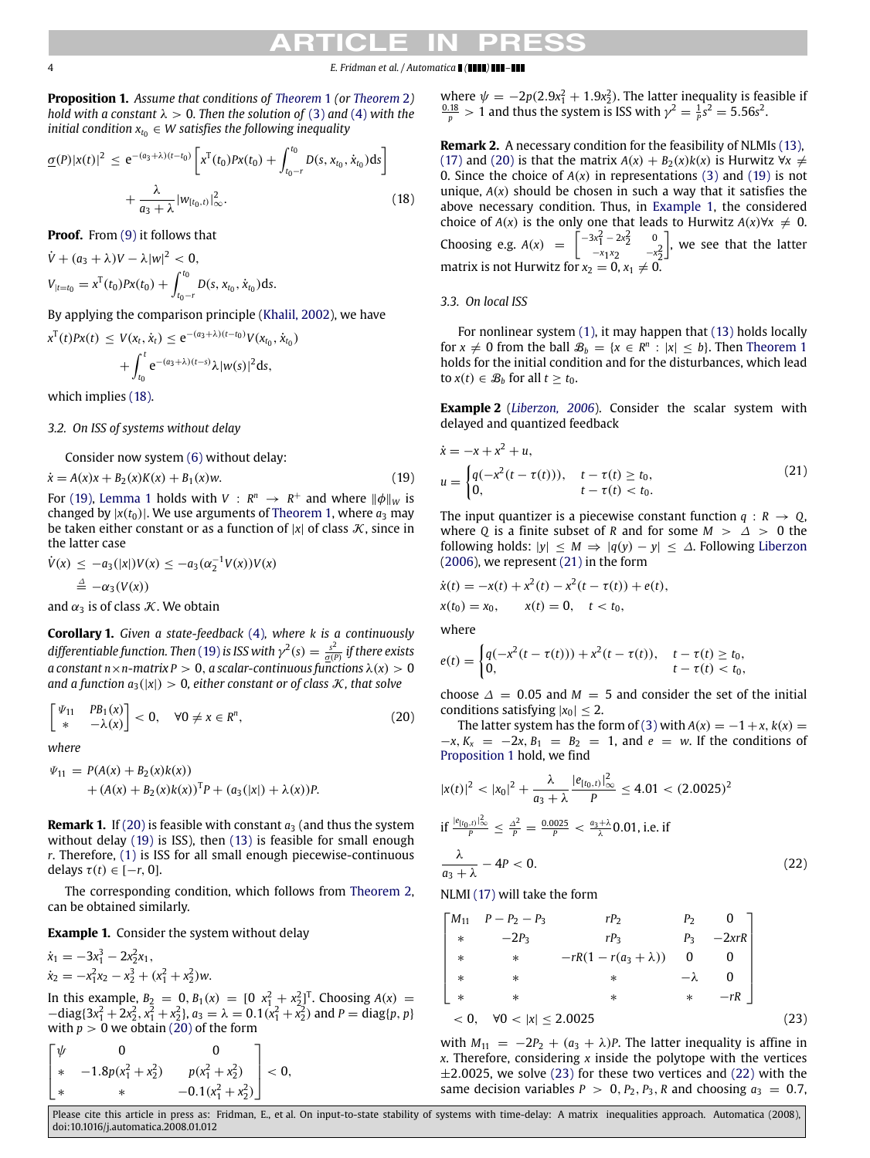4 *E. Fridman et al. / Automatica ( ) –*

<span id="page-3-5"></span>**Proposition 1.** *Assume that conditions of [Theorem](#page-2-5)* 1 *(or [Theorem](#page-2-6)* 2*) hold with a constant*  $\lambda > 0$ *. Then the solution of* [\(3\)](#page-1-2) *and* [\(4\)](#page-1-3) *with the initial condition*  $x_{t_0} \in W$  *satisfies the following inequality* 

$$
\underline{\sigma}(P)|x(t)|^2 \le e^{-(a_3+\lambda)(t-t_0)} \left[ x^T(t_0)Px(t_0) + \int_{t_0-r}^{t_0} D(s, x_{t_0}, \dot{x}_{t_0}) ds \right] + \frac{\lambda}{a_3 + \lambda} |w_{[t_0, t)}|_{\infty}^2.
$$
\n(18)

**Proof.** From [\(9\)](#page-2-1) it follows that

$$
\dot{V} + (a_3 + \lambda)V - \lambda|w|^2 < 0,
$$
  
\n
$$
V_{|t=t_0} = x^{\mathrm{T}}(t_0)Px(t_0) + \int_{t_0-r}^{t_0} D(s, x_{t_0}, \dot{x}_{t_0})ds.
$$

By applying the comparison principle [\(Khalil,](#page-5-11) [2002\)](#page-5-11), we have

$$
x^{T}(t)Px(t) \leq V(x_{t}, \dot{x}_{t}) \leq e^{-(a_{3}+\lambda)(t-t_{0})}V(x_{t_{0}}, \dot{x}_{t_{0}})
$$

$$
+ \int_{t_{0}}^{t} e^{-(a_{3}+\lambda)(t-s)}\lambda |w(s)|^{2} ds,
$$

which implies [\(18\).](#page-3-0)

#### *3.2. On ISS of systems without delay*

Consider now system [\(6\)](#page-1-4) without delay:

 $\dot{x} = A(x)x + B_2(x)K(x) + B_1(x)w.$  (19)

For [\(19\),](#page-3-1) [Lemma 1](#page-1-6) holds with  $V: R^n \rightarrow R^+$  and where  $\|\phi\|_W$  is changed by  $|x(t_0)|$ . We use arguments of [Theorem 1,](#page-2-5) where  $a_3$  may be taken either constant or as a function of  $|x|$  of class  $\mathcal{K}$ , since in the latter case

$$
\dot{V}(x) \leq -a_3(|x|)V(x) \leq -a_3(\alpha_2^{-1}V(x))V(x)
$$
  

$$
\stackrel{\Delta}{=} -\alpha_3(V(x))
$$

and  $\alpha_3$  is of class *K*. We obtain

**Corollary 1.** *Given a state-feedback* [\(4\)](#page-1-3)*, where k is a continuously* differentiable function. Then [\(19\)](#page-3-1) is ISS with  $\gamma^2(s) = \frac{s^2}{\underline{\sigma}(P)}$  if there exists *a* constant  $n \times n$ -matrix  $P > 0$ , *a* scalar-continuous functions  $\lambda(x) > 0$ *and a function*  $a_3(|x|) > 0$ , either constant or of class  $K$ , that solve

$$
\begin{bmatrix} \Psi_{11} & PB_1(x) \\ * & -\lambda(x) \end{bmatrix} < 0, \quad \forall 0 \neq x \in R^n,
$$
 (20)

*where*

$$
\Psi_{11} = P(A(x) + B_2(x)k(x)) \n+ (A(x) + B_2(x)k(x))^T P + (a_3(|x|) + \lambda(x))P.
$$

**Remark 1.** If [\(20\)](#page-3-2) is feasible with constant  $a_3$  (and thus the system without delay [\(19\)](#page-3-1) is ISS), then [\(13\)](#page-2-2) is feasible for small enough *r*. Therefore, [\(1\)](#page-1-0) is ISS for all small enough piecewise-continuous delays  $\tau(t) \in [-r, 0]$ .

The corresponding condition, which follows from [Theorem 2,](#page-2-6) can be obtained similarly.

<span id="page-3-3"></span>**Example 1.** Consider the system without delay

 $\dot{x}_1 = -3x_1^3 - 2x_2^2x_1,$  $\dot{x}_2 = -x_1^2 x_2 - x_2^3 + (x_1^2 + x_2^2) w.$ 

In this example,  $B_2 = 0$ ,  $B_1(x) = \begin{bmatrix} 0 & x_1^2 + x_2^2 \end{bmatrix}^T$ . Choosing  $A(x) =$  $-\text{diag}\{3x_1^2 + 2x_2^2, x_1^2 + x_2^2\}$ ,  $a_3 = \lambda = 0.1(x_1^2 + x_2^2)$  and  $P = \text{diag}\{p, p\}$ with  $p > 0$  we obtain [\(20\)](#page-3-2) of the form

$$
\begin{bmatrix} \psi & 0 & 0 \\ * & -1.8p(x_1^2 + x_2^2) & p(x_1^2 + x_2^2) \\ * & * & -0.1(x_1^2 + x_2^2) \end{bmatrix} < 0,
$$

where  $\psi = -2p(2.9x_1^2 + 1.9x_2^2)$ . The latter inequality is feasible if  $\frac{0.18}{p} > 1$  and thus the system is ISS with  $\gamma^2 = \frac{1}{p}s^2 = 5.56s^2$ .

<span id="page-3-0"></span>**Remark 2.** A necessary condition for the feasibility of NLMIs [\(13\),](#page-2-2) [\(17\)](#page-2-3) and [\(20\)](#page-3-2) is that the matrix  $A(x) + B_2(x)k(x)$  is Hurwitz  $\forall x \neq$ 0. Since the choice of  $A(x)$  in representations [\(3\)](#page-1-2) and [\(19\)](#page-3-1) is not unique, *A*(*x*) should be chosen in such a way that it satisfies the above necessary condition. Thus, in [Example 1,](#page-3-3) the considered choice of *A*(*x*) is the only one that leads to Hurwitz  $A(x) \forall x \neq 0$ . Choosing e.g.  $A(x) = \begin{bmatrix} -3x_1^2 - 2x_2^2 & 0 \\ 0 & 0 & 0 \end{bmatrix}$ −*x*<sup>1</sup> *<sup>x</sup>*<sup>2</sup> −*<sup>x</sup>* 2 2 , we see that the latter matrix is not Hurwitz for  $x_2 = 0$ ,  $x_1 \neq 0$ .

*3.3. On local ISS*

For nonlinear system [\(1\),](#page-1-0) it may happen that [\(13\)](#page-2-2) holds locally for  $x \neq 0$  from the ball  $\mathcal{B}_b = \{x \in \mathbb{R}^n : |x| \leq b\}$ . Then [Theorem 1](#page-2-5) holds for the initial condition and for the disturbances, which lead  $\text{to } x(t) \in \mathcal{B}_b \text{ for all } t \geq t_0.$ 

<span id="page-3-8"></span><span id="page-3-4"></span>**Example 2** (*[Liberzon,](#page-5-12) [2006](#page-5-12)*). Consider the scalar system with delayed and quantized feedback

<span id="page-3-1"></span>
$$
\dot{x} = -x + x^{2} + u,\nu = \begin{cases}\nq(-x^{2}(t - \tau(t))), & t - \tau(t) \ge t_{0}, \\
0, & t - \tau(t) < t_{0}.\n\end{cases}
$$
\n(21)

The input quantizer is a piecewise constant function  $q : R \to Q$ , where *Q* is a finite subset of *R* and for some  $M > \Delta > 0$  the following holds:  $|y| \le M \Rightarrow |q(y) - y| \le \Delta$ . Following [Liberzon](#page-5-12) [\(2006\)](#page-5-12), we represent [\(21\)](#page-3-4) in the form

$$
\dot{x}(t) = -x(t) + x^2(t) - x^2(t - \tau(t)) + e(t),
$$
  
\n
$$
x(t_0) = x_0, \qquad x(t) = 0, \quad t < t_0,
$$

where

$$
e(t) = \begin{cases} q(-x^2(t-\tau(t))) + x^2(t-\tau(t)), & t-\tau(t) \ge t_0, \\ 0, & t-\tau(t) < t_0, \end{cases}
$$

<span id="page-3-2"></span>choose  $\Delta = 0.05$  and  $M = 5$  and consider the set of the initial conditions satisfying  $|x_0|$  < 2.

The latter system has the form of [\(3\)](#page-1-2) with  $A(x) = -1 + x$ ,  $k(x) = 0$  $-x, K_x = -2x, B_1 = B_2 = 1$ , and  $e = w$ . If the conditions of [Proposition 1](#page-3-5) hold, we find

$$
|x(t)|^2 < |x_0|^2 + \frac{\lambda}{a_3 + \lambda} \frac{|e_{[t_0, t)}|^2}{P} \le 4.01 < (2.0025)^2
$$
\n
$$
\text{if } \frac{|e_{[t_0, t)}|^2}{P} \le \frac{\lambda^2}{P} = \frac{0.0025}{P} < \frac{a_3 + \lambda}{\lambda} 0.01, \text{ i.e. if}
$$
\n
$$
\frac{\lambda}{a_3 + \lambda} - 4P < 0. \tag{22}
$$

<span id="page-3-7"></span>NLMI [\(17\)](#page-2-3) will take the form

$$
\begin{bmatrix}\nM_{11} & P - P_2 - P_3 & rP_2 & P_2 & 0 \\
* & -2P_3 & rP_3 & P_3 & -2xrR \\
* & * & -rR(1 - r(a_3 + \lambda)) & 0 & 0 \\
* & * & * & -\lambda & 0 \\
* & * & * & * & -rR\n\end{bmatrix}
$$
\n
$$
< 0, \forall 0 < |x| \le 2.0025
$$
\n(23)

<span id="page-3-6"></span>with  $M_{11} = -2P_2 + (a_3 + \lambda)P$ . The latter inequality is affine in *x*. Therefore, considering *x* inside the polytope with the vertices  $\pm$ 2.0025, we solve [\(23\)](#page-3-6) for these two vertices and [\(22\)](#page-3-7) with the same decision variables  $P > 0$ ,  $P_2$ ,  $P_3$ ,  $R$  and choosing  $a_3 = 0.7$ ,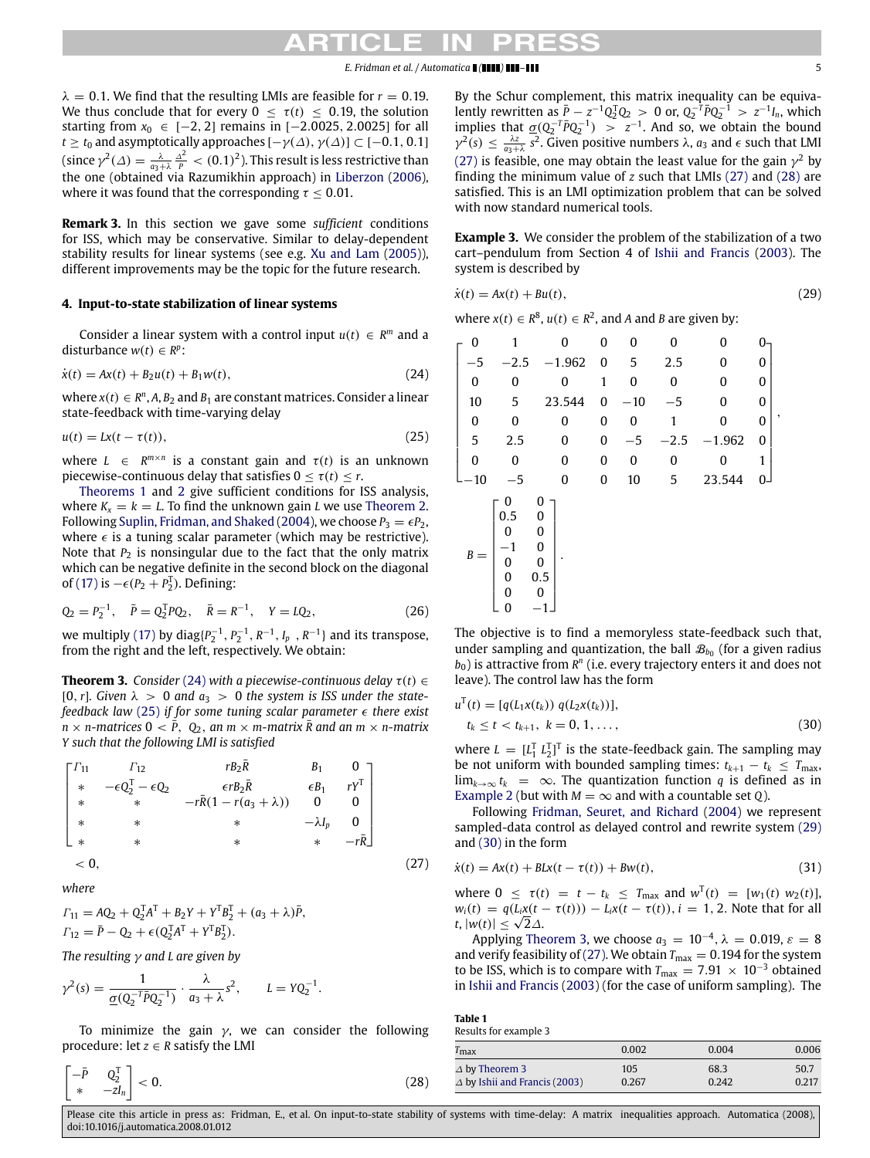$\lambda = 0.1$ . We find that the resulting LMIs are feasible for  $r = 0.19$ . We thus conclude that for every  $0 < \tau(t) < 0.19$ , the solution starting from *x*<sub>0</sub> ∈ [−2, 2] remains in [−2,0025, 2,0025] for all *t*  $\geq$  *t*<sub>0</sub> and asymptotically approaches  $[-\gamma(\Delta), \gamma(\Delta)] \subset [-0.1, 0.1]$ (since  $\gamma^2(\Delta) = \frac{\lambda}{a_3 + \lambda} \frac{\Delta^2}{P} < (0.1)^2$ ). This result is less restrictive than the one (obtained via Razumikhin approach) in [Liberzon](#page-5-12) [\(2006\)](#page-5-12), where it was found that the corresponding  $\tau \leq 0.01$ .

**Remark 3.** In this section we gave some *sufficient* conditions for ISS, which may be conservative. Similar to delay-dependent stability results for linear systems (see e.g. [Xu](#page-5-16) [and](#page-5-16) [Lam](#page-5-16) [\(2005\)](#page-5-16)), different improvements may be the topic for the future research.

#### <span id="page-4-0"></span>**4. Input-to-state stabilization of linear systems**

Consider a linear system with a control input  $u(t) \in R^m$  and a disturbance  $w(t) \in R^p$ :

$$
\dot{x}(t) = Ax(t) + B_2 u(t) + B_1 w(t),
$$
\n(24)

where  $x(t) \in R^n$ , A,  $B_2$  and  $B_1$  are constant matrices. Consider a linear state-feedback with time-varying delay

$$
u(t) = Lx(t - \tau(t)),
$$
\n(25)

where  $L \in R^{m \times n}$  is a constant gain and  $\tau(t)$  is an unknown piecewise-continuous delay that satisfies  $0 \leq \tau(t) \leq r$ .

[Theorems 1](#page-2-5) and [2](#page-2-6) give sufficient conditions for ISS analysis, where  $K_x = k = L$ . To find the unknown gain *L* we use [Theorem 2.](#page-2-6) Following [Suplin,](#page-5-17) [Fridman,](#page-5-17) [and](#page-5-17) [Shaked](#page-5-17) [\(2004\)](#page-5-17), we choose  $P_3 = \epsilon P_2$ , where  $\epsilon$  is a tuning scalar parameter (which may be restrictive). Note that  $P_2$  is nonsingular due to the fact that the only matrix which can be negative definite in the second block on the diagonal of [\(17\)](#page-2-3) is  $-∈(P_2 + P_2^T)$ . Defining:

$$
Q_2 = P_2^{-1}, \quad \bar{P} = Q_2^{\mathrm{T}} P Q_2, \quad \bar{R} = R^{-1}, \quad Y = L Q_2,\tag{26}
$$

we multiply [\(17\)](#page-2-3) by  $diag\{P_2^{-1}, P_2^{-1}, R^{-1}, I_p, R^{-1}\}$  and its transpose, from the right and the left, respectively. We obtain:

<span id="page-4-7"></span>**Theorem 3.** *Consider* [\(24\)](#page-4-1) *with a piecewise-continuous delay*  $\tau(t) \in$ [0, r]. Given  $\lambda > 0$  and  $a_3 > 0$  the system is ISS under the state*feedback law* [\(25\)](#page-4-2) *if for some tuning scalar parameter there exist*  $n \times n$ *-matrices*  $0 < \overline{P}$ ,  $Q_2$ , an  $m \times m$ *-matrix*  $\overline{R}$  and an  $m \times n$ *-matrix Y such that the following LMI is satisfied*

$$
\begin{bmatrix}\n\Gamma_{11} & \Gamma_{12} & rB_2\bar{R} & B_1 & 0 \\
* & -\epsilon Q_2^T - \epsilon Q_2 & \epsilon rB_2\bar{R} & \epsilon B_1 & rY^T \\
* & * & -r\bar{R}(1 - r(a_3 + \lambda)) & 0 & 0 \\
* & * & * & -\lambda I_p & 0 \\
* & * & * & * & -r\bar{R}\n\end{bmatrix}
$$
\n
$$
< 0, \tag{27}
$$

*where*

$$
\Gamma_{11} = AQ_2 + Q_2^T A^T + B_2 Y + Y^T B_2^T + (a_3 + \lambda)\bar{P},
$$
  
\n
$$
\Gamma_{12} = \bar{P} - Q_2 + \epsilon (Q_2^T A^T + Y^T B_2^T).
$$

*The resulting* γ *and L are given by*

$$
\gamma^{2}(s) = \frac{1}{\underline{\sigma}(Q_{2}^{-T}\bar{P}Q_{2}^{-1})} \cdot \frac{\lambda}{a_{3} + \lambda} s^{2}, \qquad L = YQ_{2}^{-1}.
$$

To minimize the gain  $\gamma$ , we can consider the following procedure: let  $z \in R$  satisfy the LMI

$$
\begin{bmatrix} -\bar{P} & Q_2^{\mathrm{T}} \\ * & -zI_n \end{bmatrix} < 0.
$$
 (28)

By the Schur complement, this matrix inequality can be equivalently rewritten as  $\frac{\bar{p}}{r} - z^{-1}Q_2^TQ_2 > 0$  or,  $Q_2^{-T}\bar{p}Q_2^{-T} > z^{-1}I_n$ , which implies that  $\underline{\sigma}(Q_2^{-T} \overline{P} Q_2^{-1}) > z^{-1}$ . And so, we obtain the bound  $\gamma^2(s) \leq \frac{\lambda z}{a_3 + \lambda} s^2$ . Given positive numbers  $\lambda$ ,  $a_3$  and  $\epsilon$  such that LMI [\(27\)](#page-4-3) is feasible, one may obtain the least value for the gain  $\gamma^2$  by finding the minimum value of *z* such that LMIs [\(27\)](#page-4-3) and [\(28\)](#page-4-4) are satisfied. This is an LMI optimization problem that can be solved with now standard numerical tools.

**Example 3.** We consider the problem of the stabilization of a two cart–pendulum from Section 4 of [Ishii](#page-5-18) [and](#page-5-18) [Francis](#page-5-18) [\(2003\)](#page-5-18). The system is described by

<span id="page-4-5"></span>
$$
\dot{x}(t) = Ax(t) + Bu(t),\tag{29}
$$

where *x*(*t*) ∈  $R^8$ , *u*(*t*) ∈  $R^2$ , and *A* and *B* are given by:

<span id="page-4-2"></span><span id="page-4-1"></span>

| 0     | 1                                              | 0                                                            | 0 | 0                | 0      | 0           | 0            |   |
|-------|------------------------------------------------|--------------------------------------------------------------|---|------------------|--------|-------------|--------------|---|
| $-5$  | $-2.5$                                         | $-1.962$                                                     | 0 | 5                | 2.5    | 0           | 0            |   |
| 0     | 0                                              | 0                                                            | 1 | 0                | 0      | $\mathbf 0$ | 0            |   |
| 10    | 5                                              | 23.544                                                       | 0 | $-10$            | $-5$   | 0           | 0            |   |
| 0     | 0                                              | 0                                                            | 0 | $\boldsymbol{0}$ | 1      | 0           | $\mathbf{0}$ | , |
| 5     | 2.5                                            | 0                                                            | 0 | $-5$             | $-2.5$ | $-1.962$    | $\mathbf{0}$ |   |
| 0     | 0                                              | $\mathbf{0}$                                                 | 0 | $\boldsymbol{0}$ | 0      | 0           | 1            |   |
| 10    | $-5$                                           | $\mathbf 0$                                                  | 0 | 10               | 5      | 23.544      | 0            |   |
| $B =$ | 0<br>0.5<br>0<br>0<br>$\overline{0}$<br>0<br>0 | 0<br>$\boldsymbol{0}$<br>0<br>$\bf{0}$<br>0<br>٠<br>0.5<br>0 |   |                  |        |             |              |   |

The objective is to find a memoryless state-feedback such that, under sampling and quantization, the ball  $\mathcal{B}_{b_0}$  (for a given radius *b*<sub>0</sub>) is attractive from *R<sup>n</sup>* (i.e. every trajectory enters it and does not leave). The control law has the form

$$
u^{T}(t) = [q(L_{1}x(t_{k})) q(L_{2}x(t_{k}))],
$$
  
\n
$$
t_{k} \leq t < t_{k+1}, k = 0, 1, ...,
$$
\n(30)

<span id="page-4-6"></span>where  $L = [L_1^T L_2^T]^T$  is the state-feedback gain. The sampling may be not uniform with bounded sampling times:  $t_{k+1} - t_k \leq T_{\text{max}}$ , lim<sub>*k*→∞</sub>  $t_k$  = ∞. The quantization function *q* is defined as in [Example 2](#page-3-8) (but with  $M = \infty$  and with a countable set *Q*).

Following [Fridman,](#page-5-19) [Seuret,](#page-5-19) [and](#page-5-19) [Richard](#page-5-19) [\(2004\)](#page-5-19) we represent sampled-data control as delayed control and rewrite system [\(29\)](#page-4-5) and [\(30\)](#page-4-6) in the form

<span id="page-4-3"></span>
$$
\dot{x}(t) = Ax(t) + BLx(t - \tau(t)) + Bw(t),
$$
\n(31)

where  $0 \le \tau(t) = t - t_k \le T_{\text{max}}$  and  $w^T(t) = [w_1(t) w_2(t)]$ ,  $w_i(t) = q(L_i x(t - \tau(t))) - L_i x(t - \tau(t)), i = 1, 2$ . Note that for all *t*,  $|w(t)|$  ≤  $\sqrt{2}\Delta$ .

Applying [Theorem 3,](#page-4-7) we choose  $a_3 = 10^{-4}$ ,  $\lambda = 0.019$ ,  $\varepsilon = 8$ and verify feasibility of [\(27\).](#page-4-3) We obtain  $T_{\text{max}} = 0.194$  for the system to be ISS, which is to compare with  $T_{\text{max}} = 7.91 \times 10^{-3}$  obtained in [Ishii](#page-5-18) [and](#page-5-18) [Francis](#page-5-18) [\(2003\)](#page-5-18) (for the case of uniform sampling). The

<span id="page-4-8"></span>

| Table 1               |  |  |
|-----------------------|--|--|
| Results for example 3 |  |  |

<span id="page-4-4"></span>

| $l$ max                                                          | 0.002        | 0.004         | 0.006         |  |  |  |
|------------------------------------------------------------------|--------------|---------------|---------------|--|--|--|
| $\Delta$ by Theorem 3<br>$\triangle$ by Ishii and Francis (2003) | 105<br>0.267 | 68.3<br>0.242 | 50.7<br>0.217 |  |  |  |